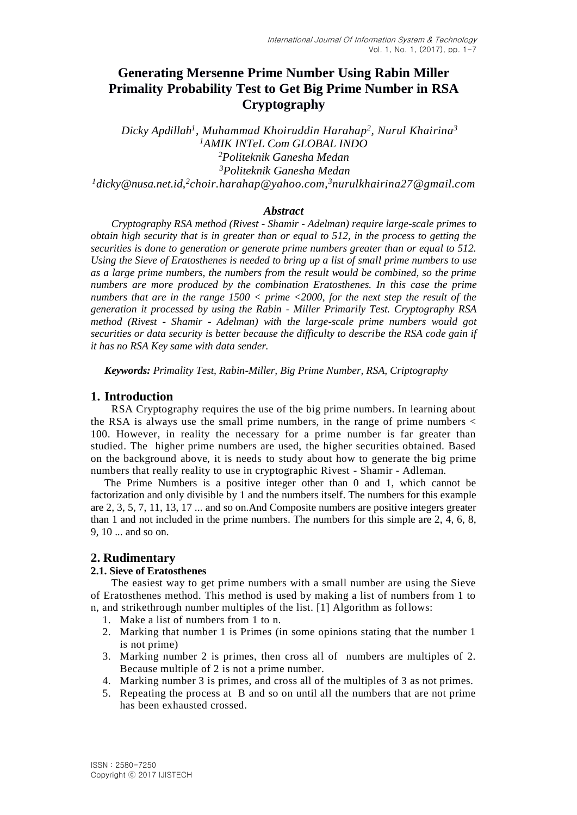# **Generating Mersenne Prime Number Using Rabin Miller Primality Probability Test to Get Big Prime Number in RSA Cryptography**

*Dicky Apdillah<sup>1</sup> , Muhammad Khoiruddin Harahap<sup>2</sup> , Nurul Khairina<sup>3</sup> AMIK INTeL Com GLOBAL INDO Politeknik Ganesha Medan Politeknik Ganesha Medan [dicky@nusa.net.id,](mailto:dicky@nusa.net.id) 2 [choir.harahap@yahoo.com,](mailto:2choir.harahap@yahoo.com) <sup>3</sup>nurulkhairina27@gmail.com*

### *Abstract*

*Cryptography RSA method (Rivest - Shamir - Adelman) require large-scale primes to obtain high security that is in greater than or equal to 512, in the process to getting the securities is done to generation or generate prime numbers greater than or equal to 512. Using the Sieve of Eratosthenes is needed to bring up a list of small prime numbers to use as a large prime numbers, the numbers from the result would be combined, so the prime numbers are more produced by the combination Eratosthenes. In this case the prime numbers that are in the range 1500 < prime <2000, for the next step the result of the generation it processed by using the Rabin - Miller Primarily Test. Cryptography RSA method (Rivest - Shamir - Adelman) with the large-scale prime numbers would got securities or data security is better because the difficulty to describe the RSA code gain if it has no RSA Key same with data sender.*

*Keywords: Primality Test, Rabin-Miller, Big Prime Number, RSA, Criptography*

## **1. Introduction**

RSA Cryptography requires the use of the big prime numbers. In learning about the RSA is always use the small prime numbers, in the range of prime numbers < 100. However, in reality the necessary for a prime number is far greater than studied. The higher prime numbers are used, the higher securities obtained. Based on the background above, it is needs to study about how to generate the big prime numbers that really reality to use in cryptographic Rivest - Shamir - Adleman.

The Prime Numbers is a positive integer other than 0 and 1, which cannot be factorization and only divisible by 1 and the numbers itself. The numbers for this example are 2, 3, 5, 7, 11, 13, 17 ... and so on.And Composite numbers are positive integers greater than 1 and not included in the prime numbers. The numbers for this simple are 2, 4, 6, 8, 9, 10 ... and so on.

## **2. Rudimentary**

## **2.1. Sieve of Eratosthenes**

The easiest way to get prime numbers with a small number are using the Sieve of Eratosthenes method. This method is used by making a list of numbers from 1 to n, and strikethrough number multiples of the list. [1] Algorithm as follows:

- 1. Make a list of numbers from 1 to n.
- 2. Marking that number 1 is Primes (in some opinions stating that the number 1 is not prime)
- 3. Marking number 2 is primes, then cross all of numbers are multiples of 2. Because multiple of 2 is not a prime number.
- 4. Marking number 3 is primes, and cross all of the multiples of 3 as not primes.
- 5. Repeating the process at B and so on until all the numbers that are not prime has been exhausted crossed.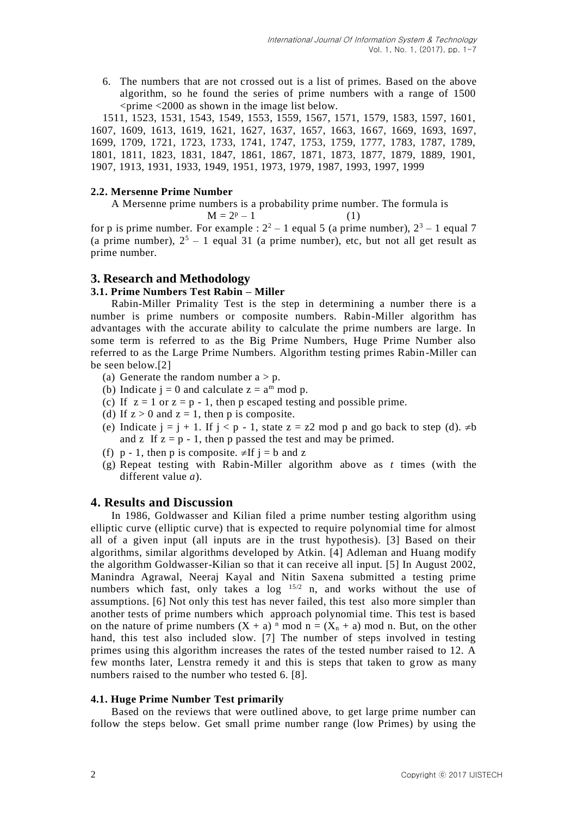6. The numbers that are not crossed out is a list of primes. Based on the above algorithm, so he found the series of prime numbers with a range of 1500  $\epsilon$  <prime  $\epsilon$  2000 as shown in the image list below.

1511, 1523, 1531, 1543, 1549, 1553, 1559, 1567, 1571, 1579, 1583, 1597, 1601, 1607, 1609, 1613, 1619, 1621, 1627, 1637, 1657, 1663, 1667, 1669, 1693, 1697, 1699, 1709, 1721, 1723, 1733, 1741, 1747, 1753, 1759, 1777, 1783, 1787, 1789, 1801, 1811, 1823, 1831, 1847, 1861, 1867, 1871, 1873, 1877, 1879, 1889, 1901, 1907, 1913, 1931, 1933, 1949, 1951, 1973, 1979, 1987, 1993, 1997, 1999

#### **2.2. Mersenne Prime Number**

A Mersenne prime numbers is a probability prime number. The formula is  $M = 2^p - 1$  (1)

for p is prime number. For example :  $2^2 - 1$  equal 5 (a prime number),  $2^3 - 1$  equal 7 (a prime number),  $2^5 - 1$  equal 31 (a prime number), etc, but not all get result as prime number.

## **3. Research and Methodology**

### **3.1. Prime Numbers Test Rabin – Miller**

Rabin-Miller Primality Test is the step in determining a number there is a number is prime numbers or composite numbers. Rabin-Miller algorithm has advantages with the accurate ability to calculate the prime numbers are large. In some term is referred to as the Big Prime Numbers, Huge Prime Number also referred to as the Large Prime Numbers. Algorithm testing primes Rabin-Miller can be seen below.[2]

- (a) Generate the random number  $a > p$ .
- (b) Indicate  $j = 0$  and calculate  $z = a^m \mod p$ .
- (c) If  $z = 1$  or  $z = p 1$ , then p escaped testing and possible prime.
- (d) If  $z > 0$  and  $z = 1$ , then p is composite.
- (e) Indicate  $j = j + 1$ . If  $j < p 1$ , state  $z = z2 \mod p$  and go back to step (d).  $\neq b$ and z If  $z = p - 1$ , then p passed the test and may be primed.
- (f) p 1, then p is composite.  $\neq$ If  $i = b$  and z
- (g) Repeat testing with Rabin-Miller algorithm above as *t* times (with the different value *a*).

## **4. Results and Discussion**

In 1986, Goldwasser and Kilian filed a prime number testing algorithm using elliptic curve (elliptic curve) that is expected to require polynomial time for almost all of a given input (all inputs are in the trust hypothesis). [3] Based on their algorithms, similar algorithms developed by Atkin. [4] Adleman and Huang modify the algorithm Goldwasser-Kilian so that it can receive all input. [5] In August 2002, Manindra Agrawal, Neeraj Kayal and Nitin Saxena submitted a testing prime numbers which fast, only takes a log <sup>15/2</sup> n, and works without the use of assumptions. [6] Not only this test has never failed, this test also more simpler than another tests of prime numbers which approach polynomial time. This test is based on the nature of prime numbers  $(X + a)^n$  mod  $n = (X_n + a)$  mod n. But, on the other hand, this test also included slow. [7] The number of steps involved in testing primes using this algorithm increases the rates of the tested number raised to 12. A few months later, Lenstra remedy it and this is steps that taken to grow as many numbers raised to the number who tested 6. [8].

#### **4.1. Huge Prime Number Test primarily**

Based on the reviews that were outlined above, to get large prime number can follow the steps below. Get small prime number range (low Primes) by using the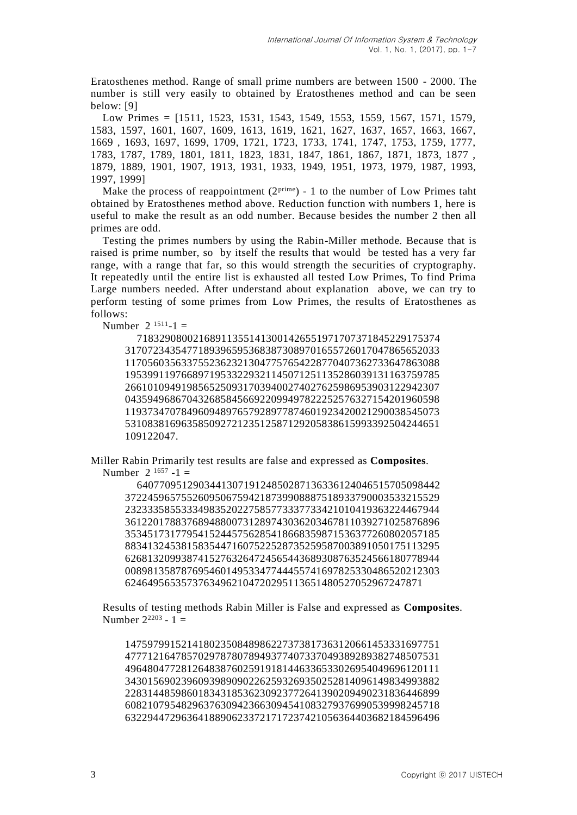Eratosthenes method. Range of small prime numbers are between 1500 - 2000. The number is still very easily to obtained by Eratosthenes method and can be seen below: [9]

Low Primes = [1511, 1523, 1531, 1543, 1549, 1553, 1559, 1567, 1571, 1579, 1583, 1597, 1601, 1607, 1609, 1613, 1619, 1621, 1627, 1637, 1657, 1663, 1667, 1669 , 1693, 1697, 1699, 1709, 1721, 1723, 1733, 1741, 1747, 1753, 1759, 1777, 1783, 1787, 1789, 1801, 1811, 1823, 1831, 1847, 1861, 1867, 1871, 1873, 1877 , 1879, 1889, 1901, 1907, 1913, 1931, 1933, 1949, 1951, 1973, 1979, 1987, 1993, 1997, 1999]

Make the process of reappointment  $(2^{prime}) - 1$  to the number of Low Primes taht obtained by Eratosthenes method above. Reduction function with numbers 1, here is useful to make the result as an odd number. Because besides the number 2 then all primes are odd.

Testing the primes numbers by using the Rabin-Miller methode. Because that is raised is prime number, so by itself the results that would be tested has a very far range, with a range that far, so this would strength the securities of cryptography. It repeatedly until the entire list is exhausted all tested Low Primes, To find Prima Large numbers needed. After understand about explanation above, we can try to perform testing of some primes from Low Primes, the results of Eratosthenes as follows:

Number  $2^{1511}-1$  =

718329080021689113551413001426551971707371845229175374 31707234354771893965953683873089701655726017047865652033 11705603563375523623213047757654228770407362733647863088 19539911976689719533229321145071251135286039131163759785 26610109491985652509317039400274027625986953903122942307 04359496867043268584566922099497822252576327154201960598 11937347078496094897657928977874601923420021290038545073 53108381696358509272123512587129205838615993392504244651 109122047.

Miller Rabin Primarily test results are false and expressed as **Composites**. Number  $2^{1657} - 1 =$ 

640770951290344130719124850287136336124046515705098442 37224596575526095067594218739908887518933790003533215529 23233358553334983520227585773337733421010419363224467944 36122017883768948800731289743036203467811039271025876896 35345173177954152445756285418668359871536377260802057185 88341324538158354471607522528735259587003891050175113295 62681320993874152763264724565443689308763524566180778944 00898135878769546014953347744455741697825330486520212303 62464956535737634962104720295113651480527052967247871

Results of testing methods Rabin Miller is False and expressed as **Composites**. Number  $2^{2203} - 1 =$ 

14759799152141802350848986227373817363120661453331697751 47771216478570297878078949377407337049389289382748507531 49648047728126483876025919181446336533026954049696120111 34301569023960939890902262593269350252814096149834993882 22831448598601834318536230923772641390209490231836446899 60821079548296376309423663094541083279376990539998245718 63229447296364188906233721717237421056364403682184596496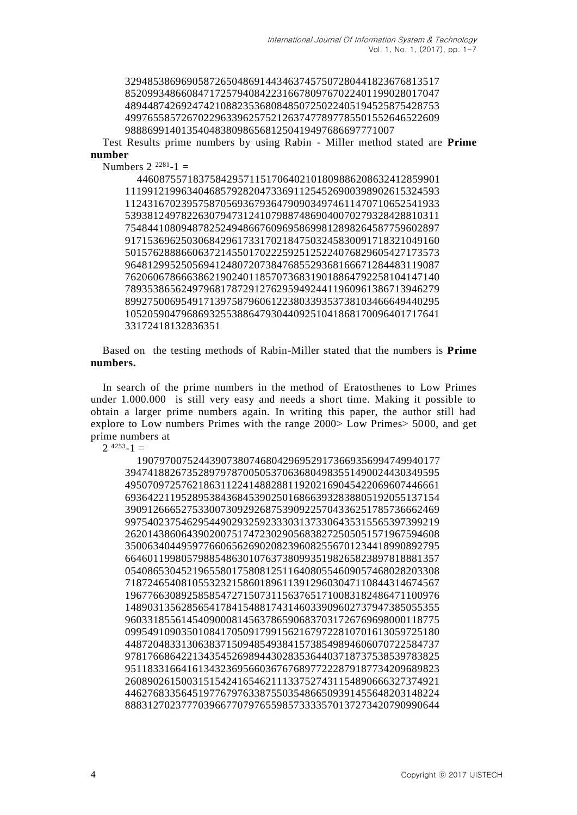Test Results prime numbers by using Rabin - Miller method stated are **Prime number**

Numbers  $2^{2281} - 1 =$ 

```
446087557183758429571151706402101809886208632412859901
11199121996340468579282047336911254526900398902615324593
11243167023957587056936793647909034974611470710652541933
53938124978226307947312410798874869040070279328428810311
75484410809487825249486676096958699812898264587759602897
91715369625030684296173317021847503245830091718321049160
50157628886606372145501702225925125224076829605427173573
96481299525056941248072073847685529368166671284483119087
76206067866638621902401185707368319018864792258104147140
78935386562497968178729127629594924411960961386713946279
89927500695491713975879606122380339353738103466649440295
10520590479686932553886479304409251041868170096401717641
33172418132836351
```
Based on the testing methods of Rabin-Miller stated that the numbers is **Prime numbers.**

In search of the prime numbers in the method of Eratosthenes to Low Primes under 1.000.000 is still very easy and needs a short time. Making it possible to obtain a larger prime numbers again. In writing this paper, the author still had explore to Low numbers Primes with the range 2000> Low Primes> 5000, and get prime numbers at

 $2^{4253} - 1 =$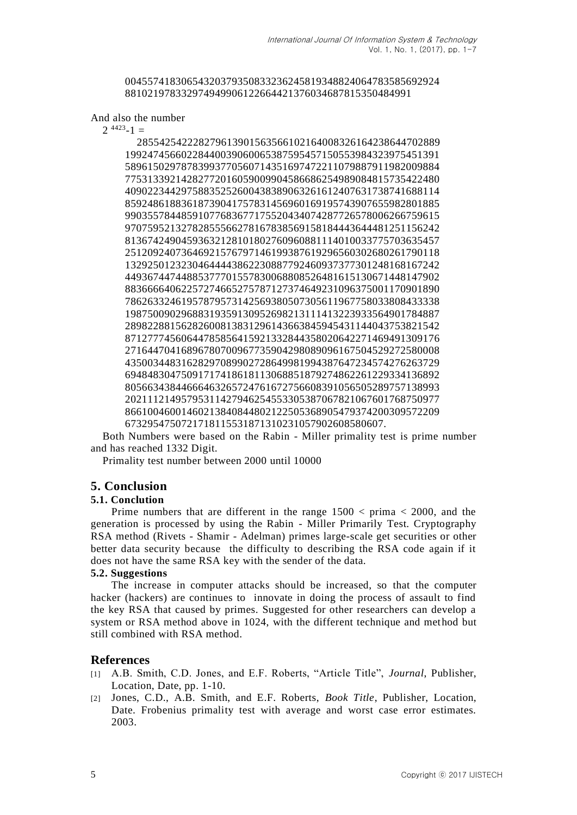#### 00455741830654320379350833236245819348824064783585692924 881021978332974949906122664421376034687815350484991

And also the number

 $2^{4423} - 1 =$ 

285542542228279613901563566102164008326164238644702889 19924745660228440039060065387595457150553984323975451391 58961502978783993770560714351697472211079887911982009884 77531339214282772016059009904586686254989084815735422480 40902234429758835252600438389063261612407631738741688114 85924861883618739041757831456960169195743907655982801885 99035578448591077683677175520434074287726578006266759615 97075952132782855566278167838569158184443644481251156242 81367424904593632128101802760960881114010033775703635457 25120924073646921576797146199387619296560302680261790118 13292501232304644443862230887792460937377301248168167242 44936744744885377701557830068808526481615130671448147902 88366664062257274665275787127374649231096375001170901890 78626332461957879573142569380507305611967758033808433338 19875009029688319359130952698213111413223933564901784887 28982288156282600813831296143663845945431144043753821542 87127774560644785856415921332844358020642271469491309176 27164470416896780700967735904298089096167504529272580008 43500344831628297089902728649981994387647234574276263729 69484830475091717418618113068851879274862261229334136892 80566343844666463265724761672756608391056505289757138993 20211121495795311427946254553305387067821067601768750977 86610046001460213840844802122505368905479374200309572209 6732954750721718115531871310231057902608580607.

Both Numbers were based on the Rabin - Miller primality test is prime number and has reached 1332 Digit.

Primality test number between 2000 until 10000

## **5. Conclusion**

#### **5.1. Conclution**

Prime numbers that are different in the range  $1500 < \text{prima} < 2000$ , and the generation is processed by using the Rabin - Miller Primarily Test. Cryptography RSA method (Rivets - Shamir - Adelman) primes large-scale get securities or other better data security because the difficulty to describing the RSA code again if it does not have the same RSA key with the sender of the data.

#### **5.2. Suggestions**

The increase in computer attacks should be increased, so that the computer hacker (hackers) are continues to innovate in doing the process of assault to find the key RSA that caused by primes. Suggested for other researchers can develop a system or RSA method above in 1024, with the different technique and method but still combined with RSA method.

#### **References**

- [1] A.B. Smith, C.D. Jones, and E.F. Roberts, "Article Title", *Journal*, Publisher, Location, Date, pp. 1-10.
- [2] Jones, C.D., A.B. Smith, and E.F. Roberts, *Book Title*, Publisher, Location, Date. Frobenius primality test with average and worst case error estimates. 2003.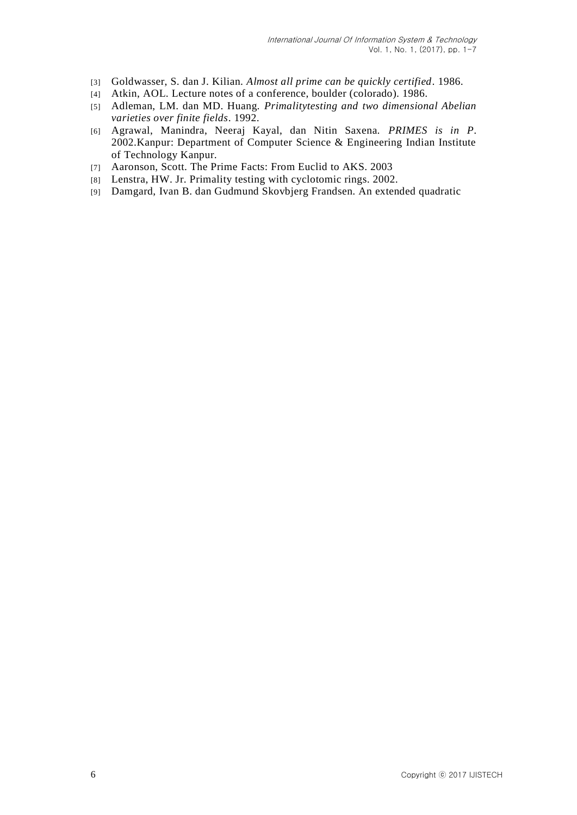- [3] Goldwasser, S. dan J. Kilian. *Almost all prime can be quickly certified*. 1986.
- [4] Atkin, AOL. Lecture notes of a conference, boulder (colorado). 1986.
- [5] Adleman, LM. dan MD. Huang. *Primalitytesting and two dimensional Abelian varieties over finite fields*. 1992.
- [6] Agrawal, Manindra, Neeraj Kayal, dan Nitin Saxena. *PRIMES is in P*. 2002.Kanpur: Department of Computer Science & Engineering Indian Institute of Technology Kanpur.
- [7] Aaronson, Scott. The Prime Facts: From Euclid to AKS. 2003
- [8] Lenstra, HW. Jr. Primality testing with cyclotomic rings. 2002.
- [9] Damgard, Ivan B. dan Gudmund Skovbjerg Frandsen. An extended quadratic